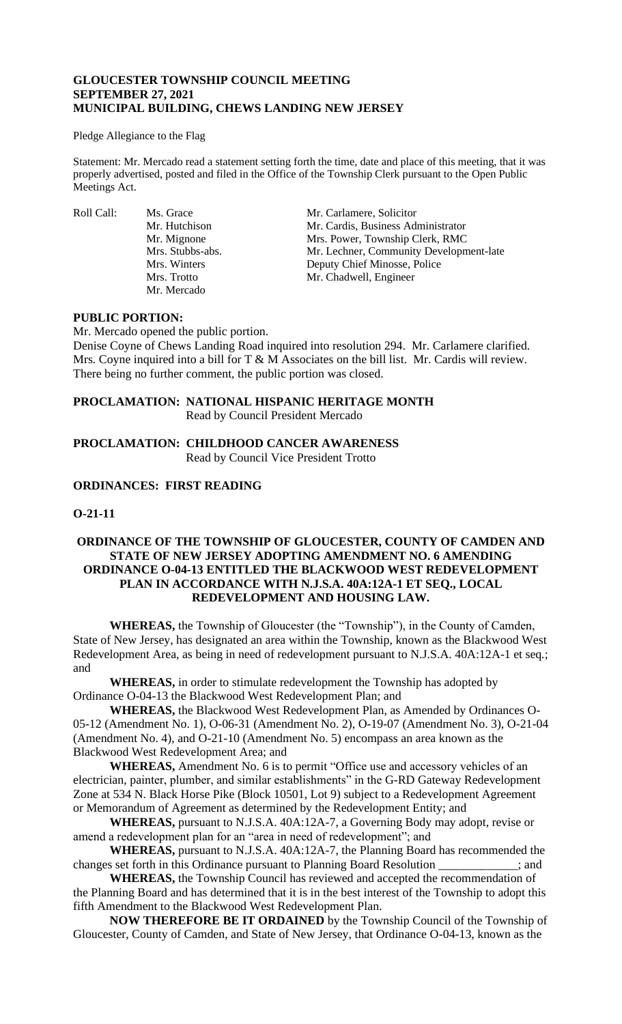## **GLOUCESTER TOWNSHIP COUNCIL MEETING SEPTEMBER 27, 2021 MUNICIPAL BUILDING, CHEWS LANDING NEW JERSEY**

#### Pledge Allegiance to the Flag

Statement: Mr. Mercado read a statement setting forth the time, date and place of this meeting, that it was properly advertised, posted and filed in the Office of the Township Clerk pursuant to the Open Public Meetings Act.

Mr. Mercado

Roll Call: Ms. Grace Mr. Carlamere, Solicitor<br>Mr. Hutchison Mr. Cardis. Business Adı Mr. Cardis, Business Administrator Mr. Mignone Mrs. Power, Township Clerk, RMC Mrs. Stubbs-abs. Mr. Lechner, Community Development-late Mrs. Winters Deputy Chief Minosse, Police Mrs. Trotto Mr. Chadwell, Engineer

#### **PUBLIC PORTION:**

Mr. Mercado opened the public portion.

Denise Coyne of Chews Landing Road inquired into resolution 294. Mr. Carlamere clarified. Mrs. Coyne inquired into a bill for T & M Associates on the bill list. Mr. Cardis will review. There being no further comment, the public portion was closed.

# **PROCLAMATION: NATIONAL HISPANIC HERITAGE MONTH**

Read by Council President Mercado

# **PROCLAMATION: CHILDHOOD CANCER AWARENESS**  Read by Council Vice President Trotto

# **ORDINANCES: FIRST READING**

## **O-21-11**

## **ORDINANCE OF THE TOWNSHIP OF GLOUCESTER, COUNTY OF CAMDEN AND STATE OF NEW JERSEY ADOPTING AMENDMENT NO. 6 AMENDING ORDINANCE O-04-13 ENTITLED THE BLACKWOOD WEST REDEVELOPMENT PLAN IN ACCORDANCE WITH N.J.S.A. 40A:12A-1 ET SEQ., LOCAL REDEVELOPMENT AND HOUSING LAW.**

**WHEREAS,** the Township of Gloucester (the "Township"), in the County of Camden, State of New Jersey, has designated an area within the Township, known as the Blackwood West Redevelopment Area, as being in need of redevelopment pursuant to N.J.S.A. 40A:12A-1 et seq*.*; and

**WHEREAS,** in order to stimulate redevelopment the Township has adopted by Ordinance O-04-13 the Blackwood West Redevelopment Plan; and

**WHEREAS,** the Blackwood West Redevelopment Plan, as Amended by Ordinances O-05-12 (Amendment No. 1), O-06-31 (Amendment No. 2), O-19-07 (Amendment No. 3), O-21-04 (Amendment No. 4), and O-21-10 (Amendment No. 5) encompass an area known as the Blackwood West Redevelopment Area; and

**WHEREAS,** Amendment No. 6 is to permit "Office use and accessory vehicles of an electrician, painter, plumber, and similar establishments" in the G-RD Gateway Redevelopment Zone at 534 N. Black Horse Pike (Block 10501, Lot 9) subject to a Redevelopment Agreement or Memorandum of Agreement as determined by the Redevelopment Entity; and

**WHEREAS,** pursuant to N.J.S.A. 40A:12A-7, a Governing Body may adopt, revise or amend a redevelopment plan for an "area in need of redevelopment"; and

**WHEREAS,** pursuant to N.J.S.A. 40A:12A-7, the Planning Board has recommended the changes set forth in this Ordinance pursuant to Planning Board Resolution \_\_\_\_\_\_\_\_\_\_\_\_\_; and

**WHEREAS,** the Township Council has reviewed and accepted the recommendation of the Planning Board and has determined that it is in the best interest of the Township to adopt this fifth Amendment to the Blackwood West Redevelopment Plan.

**NOW THEREFORE BE IT ORDAINED** by the Township Council of the Township of Gloucester, County of Camden, and State of New Jersey, that Ordinance O-04-13, known as the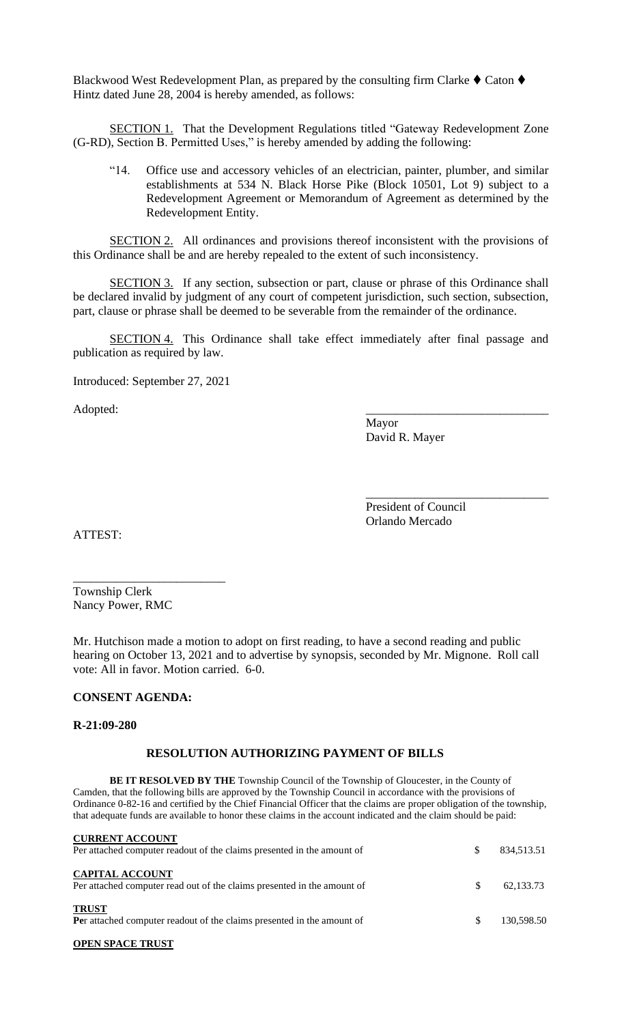Blackwood West Redevelopment Plan, as prepared by the consulting firm Clarke  $\blacklozenge$  Caton  $\blacklozenge$ Hintz dated June 28, 2004 is hereby amended, as follows:

SECTION 1. That the Development Regulations titled "Gateway Redevelopment Zone (G-RD), Section B. Permitted Uses," is hereby amended by adding the following:

"14. Office use and accessory vehicles of an electrician, painter, plumber, and similar establishments at 534 N. Black Horse Pike (Block 10501, Lot 9) subject to a Redevelopment Agreement or Memorandum of Agreement as determined by the Redevelopment Entity.

SECTION 2. All ordinances and provisions thereof inconsistent with the provisions of this Ordinance shall be and are hereby repealed to the extent of such inconsistency.

SECTION 3. If any section, subsection or part, clause or phrase of this Ordinance shall be declared invalid by judgment of any court of competent jurisdiction, such section, subsection, part, clause or phrase shall be deemed to be severable from the remainder of the ordinance.

SECTION 4. This Ordinance shall take effect immediately after final passage and publication as required by law.

Introduced: September 27, 2021

Adopted:

Mayor David R. Mayer

President of Council Orlando Mercado

\_\_\_\_\_\_\_\_\_\_\_\_\_\_\_\_\_\_\_\_\_\_\_\_\_\_\_\_\_\_

ATTEST:

Township Clerk Nancy Power, RMC

\_\_\_\_\_\_\_\_\_\_\_\_\_\_\_\_\_\_\_\_\_\_\_\_\_

Mr. Hutchison made a motion to adopt on first reading, to have a second reading and public hearing on October 13, 2021 and to advertise by synopsis, seconded by Mr. Mignone. Roll call vote: All in favor. Motion carried. 6-0.

#### **CONSENT AGENDA:**

#### **R-21:09-280**

#### **RESOLUTION AUTHORIZING PAYMENT OF BILLS**

**BE IT RESOLVED BY THE** Township Council of the Township of Gloucester, in the County of Camden, that the following bills are approved by the Township Council in accordance with the provisions of Ordinance 0-82-16 and certified by the Chief Financial Officer that the claims are proper obligation of the township, that adequate funds are available to honor these claims in the account indicated and the claim should be paid:

| <b>CURRENT ACCOUNT</b><br>Per attached computer readout of the claims presented in the amount of  | S   | 834,513.51 |
|---------------------------------------------------------------------------------------------------|-----|------------|
| <b>CAPITAL ACCOUNT</b><br>Per attached computer read out of the claims presented in the amount of | \$. | 62,133.73  |
| <b>TRUST</b><br>Per attached computer readout of the claims presented in the amount of            | \$. | 130,598.50 |

#### **OPEN SPACE TRUST**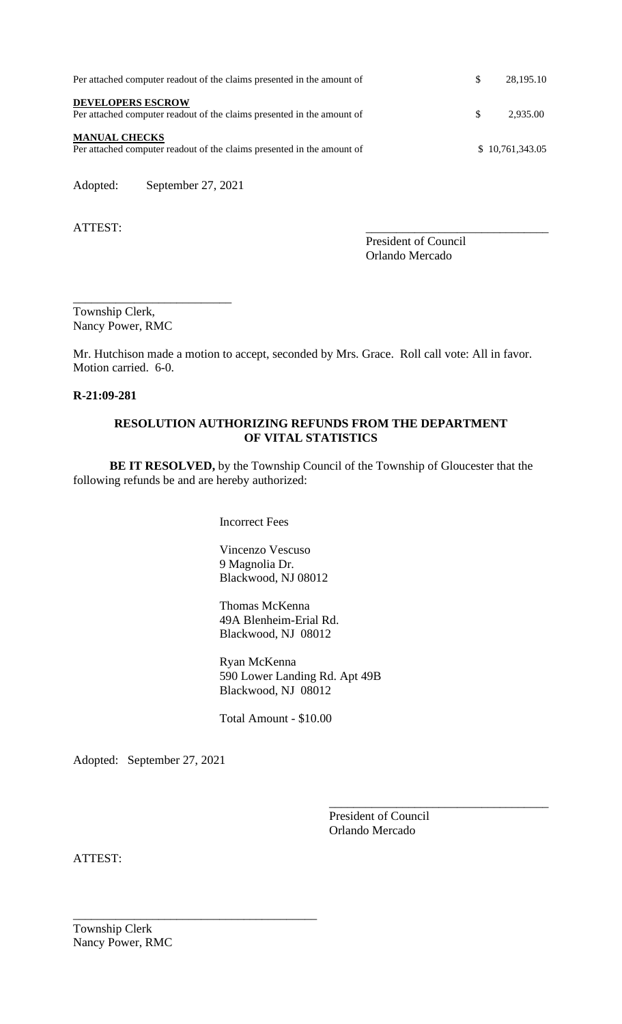| Per attached computer readout of the claims presented in the amount of                             | \$. | 28.195.10       |
|----------------------------------------------------------------------------------------------------|-----|-----------------|
| <b>DEVELOPERS ESCROW</b><br>Per attached computer readout of the claims presented in the amount of | S   | 2.935.00        |
| <b>MANUAL CHECKS</b><br>Per attached computer readout of the claims presented in the amount of     |     | \$10,761,343.05 |

Adopted: September 27, 2021

\_\_\_\_\_\_\_\_\_\_\_\_\_\_\_\_\_\_\_\_\_\_\_\_\_\_

ATTEST:

President of Council Orlando Mercado

Township Clerk, Nancy Power, RMC

Mr. Hutchison made a motion to accept, seconded by Mrs. Grace. Roll call vote: All in favor. Motion carried. 6-0.

#### **R-21:09-281**

## **RESOLUTION AUTHORIZING REFUNDS FROM THE DEPARTMENT OF VITAL STATISTICS**

**BE IT RESOLVED,** by the Township Council of the Township of Gloucester that the following refunds be and are hereby authorized:

Incorrect Fees

Vincenzo Vescuso 9 Magnolia Dr. Blackwood, NJ 08012

Thomas McKenna 49A Blenheim-Erial Rd. Blackwood, NJ 08012

Ryan McKenna 590 Lower Landing Rd. Apt 49B Blackwood, NJ 08012

Total Amount - \$10.00

Adopted: September 27, 2021

\_\_\_\_\_\_\_\_\_\_\_\_\_\_\_\_\_\_\_\_\_\_\_\_\_\_\_\_\_\_\_\_\_\_\_\_\_\_\_\_

President of Council Orlando Mercado

\_\_\_\_\_\_\_\_\_\_\_\_\_\_\_\_\_\_\_\_\_\_\_\_\_\_\_\_\_\_\_\_\_\_\_\_

ATTEST: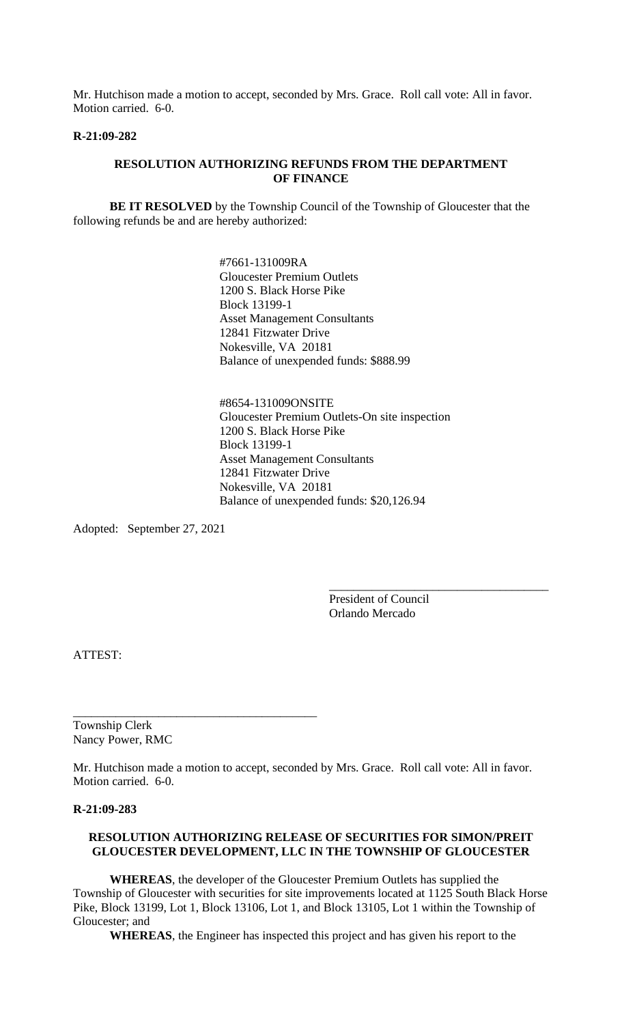Mr. Hutchison made a motion to accept, seconded by Mrs. Grace. Roll call vote: All in favor. Motion carried. 6-0.

#### **R-21:09-282**

## **RESOLUTION AUTHORIZING REFUNDS FROM THE DEPARTMENT OF FINANCE**

**BE IT RESOLVED** by the Township Council of the Township of Gloucester that the following refunds be and are hereby authorized:

> #7661-131009RA Gloucester Premium Outlets 1200 S. Black Horse Pike Block 13199-1 Asset Management Consultants 12841 Fitzwater Drive Nokesville, VA 20181 Balance of unexpended funds: \$888.99

#8654-131009ONSITE Gloucester Premium Outlets-On site inspection 1200 S. Black Horse Pike Block 13199-1 Asset Management Consultants 12841 Fitzwater Drive Nokesville, VA 20181 Balance of unexpended funds: \$20,126.94

Adopted: September 27, 2021

President of Council Orlando Mercado

\_\_\_\_\_\_\_\_\_\_\_\_\_\_\_\_\_\_\_\_\_\_\_\_\_\_\_\_\_\_\_\_\_\_\_\_

ATTEST:

Township Clerk Nancy Power, RMC

\_\_\_\_\_\_\_\_\_\_\_\_\_\_\_\_\_\_\_\_\_\_\_\_\_\_\_\_\_\_\_\_\_\_\_\_\_\_\_\_

Mr. Hutchison made a motion to accept, seconded by Mrs. Grace. Roll call vote: All in favor. Motion carried. 6-0.

#### **R-21:09-283**

#### **RESOLUTION AUTHORIZING RELEASE OF SECURITIES FOR SIMON/PREIT GLOUCESTER DEVELOPMENT, LLC IN THE TOWNSHIP OF GLOUCESTER**

**WHEREAS**, the developer of the Gloucester Premium Outlets has supplied the Township of Gloucester with securities for site improvements located at 1125 South Black Horse Pike, Block 13199, Lot 1, Block 13106, Lot 1, and Block 13105, Lot 1 within the Township of Gloucester; and

**WHEREAS**, the Engineer has inspected this project and has given his report to the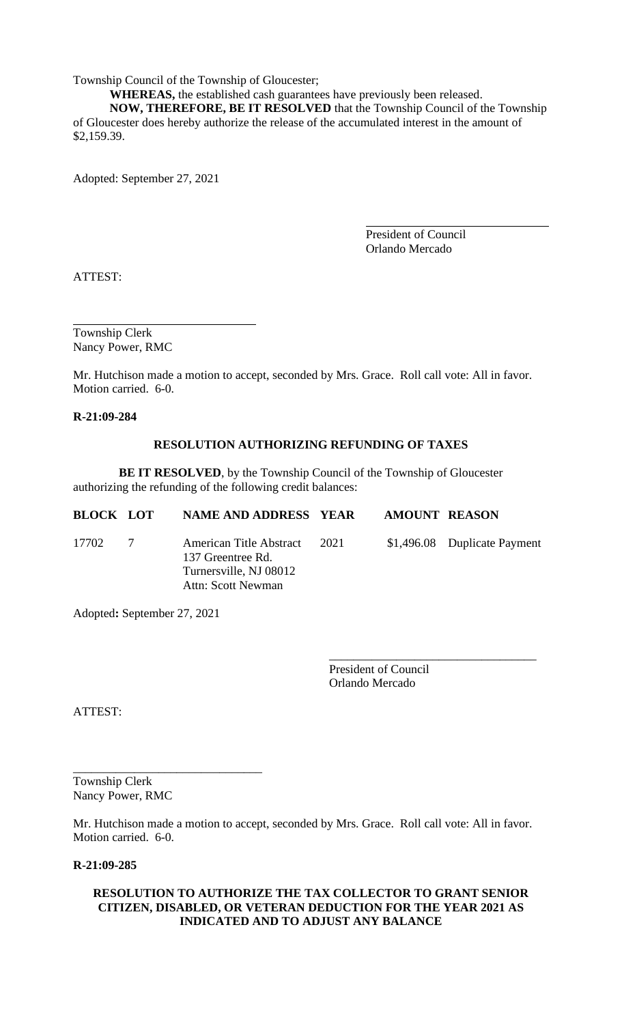Township Council of the Township of Gloucester;

**WHEREAS,** the established cash guarantees have previously been released. **NOW, THEREFORE, BE IT RESOLVED** that the Township Council of the Township of Gloucester does hereby authorize the release of the accumulated interest in the amount of \$2,159.39.

Adopted: September 27, 2021

President of Council Orlando Mercado

ATTEST:

Township Clerk Nancy Power, RMC

Mr. Hutchison made a motion to accept, seconded by Mrs. Grace. Roll call vote: All in favor. Motion carried. 6-0.

**R-21:09-284**

# **RESOLUTION AUTHORIZING REFUNDING OF TAXES**

**BE IT RESOLVED**, by the Township Council of the Township of Gloucester authorizing the refunding of the following credit balances:

| <b>BLOCK LOT</b> |   | NAME AND ADDRESS YEAR                                                                               |      | <b>AMOUNT REASON</b> |                              |
|------------------|---|-----------------------------------------------------------------------------------------------------|------|----------------------|------------------------------|
| 17702            | 7 | American Title Abstract<br>137 Greentree Rd.<br>Turnersville, NJ 08012<br><b>Attn: Scott Newman</b> | 2021 |                      | \$1,496.08 Duplicate Payment |

Adopted**:** September 27, 2021

President of Council Orlando Mercado

\_\_\_\_\_\_\_\_\_\_\_\_\_\_\_\_\_\_\_\_\_\_\_\_\_\_\_\_\_\_\_\_\_\_

ATTEST:

Township Clerk Nancy Power, RMC

\_\_\_\_\_\_\_\_\_\_\_\_\_\_\_\_\_\_\_\_\_\_\_\_\_\_\_\_\_\_\_

Mr. Hutchison made a motion to accept, seconded by Mrs. Grace. Roll call vote: All in favor. Motion carried. 6-0.

**R-21:09-285**

## **RESOLUTION TO AUTHORIZE THE TAX COLLECTOR TO GRANT SENIOR CITIZEN, DISABLED, OR VETERAN DEDUCTION FOR THE YEAR 2021 AS INDICATED AND TO ADJUST ANY BALANCE**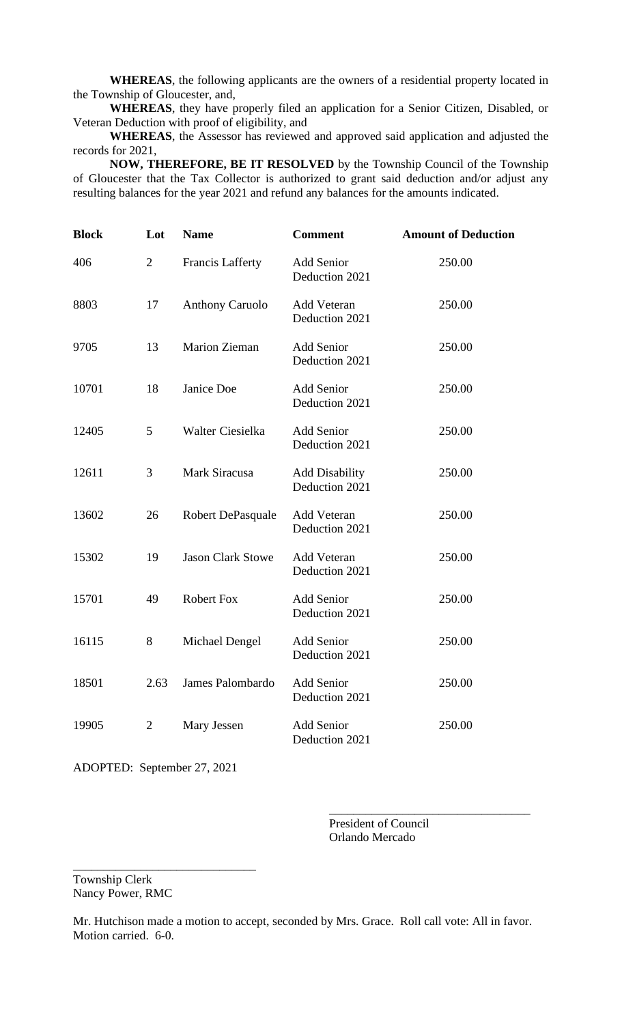**WHEREAS**, the following applicants are the owners of a residential property located in the Township of Gloucester, and,

**WHEREAS**, they have properly filed an application for a Senior Citizen, Disabled, or Veteran Deduction with proof of eligibility, and

**WHEREAS**, the Assessor has reviewed and approved said application and adjusted the records for 2021,

 **NOW, THEREFORE, BE IT RESOLVED** by the Township Council of the Township of Gloucester that the Tax Collector is authorized to grant said deduction and/or adjust any resulting balances for the year 2021 and refund any balances for the amounts indicated.

| <b>Block</b> | Lot            | <b>Name</b>              | <b>Comment</b>                          | <b>Amount of Deduction</b> |
|--------------|----------------|--------------------------|-----------------------------------------|----------------------------|
| 406          | $\overline{2}$ | Francis Lafferty         | Add Senior<br>Deduction 2021            | 250.00                     |
| 8803         | 17             | Anthony Caruolo          | Add Veteran<br>Deduction 2021           | 250.00                     |
| 9705         | 13             | <b>Marion Zieman</b>     | <b>Add Senior</b><br>Deduction 2021     | 250.00                     |
| 10701        | 18             | Janice Doe               | <b>Add Senior</b><br>Deduction 2021     | 250.00                     |
| 12405        | 5              | Walter Ciesielka         | Add Senior<br>Deduction 2021            | 250.00                     |
| 12611        | 3              | Mark Siracusa            | <b>Add Disability</b><br>Deduction 2021 | 250.00                     |
| 13602        | 26             | Robert DePasquale        | Add Veteran<br>Deduction 2021           | 250.00                     |
| 15302        | 19             | <b>Jason Clark Stowe</b> | Add Veteran<br>Deduction 2021           | 250.00                     |
| 15701        | 49             | <b>Robert Fox</b>        | <b>Add Senior</b><br>Deduction 2021     | 250.00                     |
| 16115        | 8              | <b>Michael Dengel</b>    | <b>Add Senior</b><br>Deduction 2021     | 250.00                     |
| 18501        | 2.63           | James Palombardo         | <b>Add Senior</b><br>Deduction 2021     | 250.00                     |
| 19905        | $\overline{2}$ | Mary Jessen              | <b>Add Senior</b><br>Deduction 2021     | 250.00                     |

ADOPTED: September 27, 2021

\_\_\_\_\_\_\_\_\_\_\_\_\_\_\_\_\_\_\_\_\_\_\_\_\_\_\_\_\_\_

President of Council Orlando Mercado

\_\_\_\_\_\_\_\_\_\_\_\_\_\_\_\_\_\_\_\_\_\_\_\_\_\_\_\_\_\_\_\_\_

Township Clerk Nancy Power, RMC

Mr. Hutchison made a motion to accept, seconded by Mrs. Grace. Roll call vote: All in favor. Motion carried. 6-0.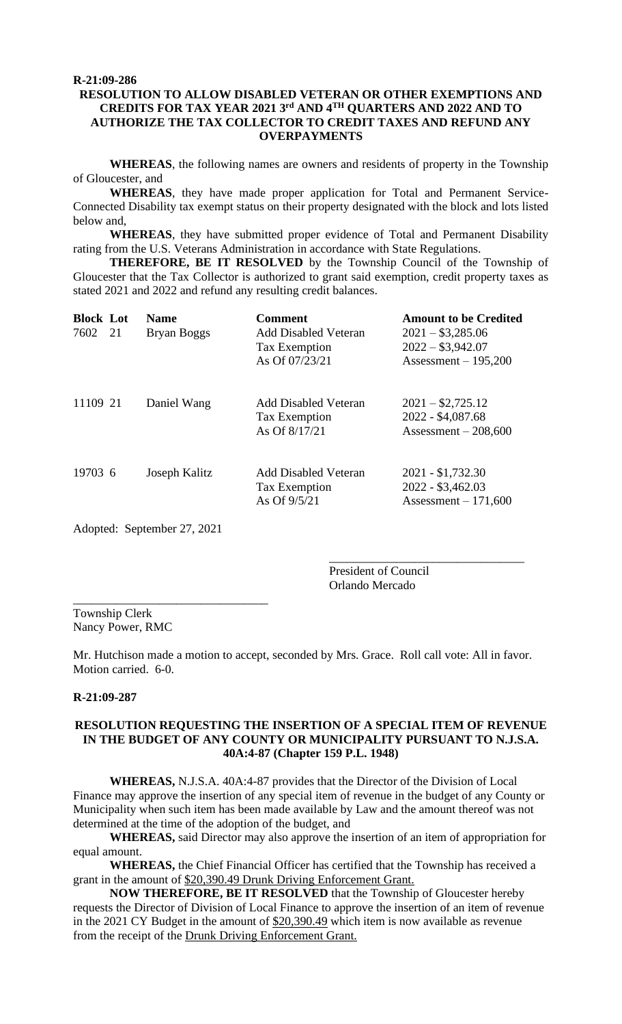## **R-21:09-286 RESOLUTION TO ALLOW DISABLED VETERAN OR OTHER EXEMPTIONS AND CREDITS FOR TAX YEAR 2021 3rd AND 4TH QUARTERS AND 2022 AND TO AUTHORIZE THE TAX COLLECTOR TO CREDIT TAXES AND REFUND ANY OVERPAYMENTS**

**WHEREAS**, the following names are owners and residents of property in the Township of Gloucester, and

**WHEREAS**, they have made proper application for Total and Permanent Service-Connected Disability tax exempt status on their property designated with the block and lots listed below and,

**WHEREAS**, they have submitted proper evidence of Total and Permanent Disability rating from the U.S. Veterans Administration in accordance with State Regulations.

**THEREFORE, BE IT RESOLVED** by the Township Council of the Township of Gloucester that the Tax Collector is authorized to grant said exemption, credit property taxes as stated 2021 and 2022 and refund any resulting credit balances.

| <b>Block Lot</b><br>7602 21 | <b>Name</b><br>Bryan Boggs | <b>Comment</b><br><b>Add Disabled Veteran</b><br><b>Tax Exemption</b><br>As Of 07/23/21 | <b>Amount to be Credited</b><br>$2021 - $3,285.06$<br>$2022 - $3,942.07$<br>Assessment $-195,200$ |
|-----------------------------|----------------------------|-----------------------------------------------------------------------------------------|---------------------------------------------------------------------------------------------------|
| 11109 21                    | Daniel Wang                | <b>Add Disabled Veteran</b><br><b>Tax Exemption</b><br>As Of 8/17/21                    | $2021 - $2,725.12$<br>2022 - \$4,087.68<br>Assessment $-208,600$                                  |
| 19703 6                     | Joseph Kalitz              | <b>Add Disabled Veteran</b><br>Tax Exemption<br>As Of $9/5/21$                          | $2021 - $1,732.30$<br>2022 - \$3,462.03<br>Assessment $-171,600$                                  |

Adopted: September 27, 2021

President of Council Orlando Mercado

\_\_\_\_\_\_\_\_\_\_\_\_\_\_\_\_\_\_\_\_\_\_\_\_\_\_\_\_\_\_\_\_

\_\_\_\_\_\_\_\_\_\_\_\_\_\_\_\_\_\_\_\_\_\_\_\_\_\_\_\_\_\_\_\_ Township Clerk Nancy Power, RMC

Mr. Hutchison made a motion to accept, seconded by Mrs. Grace. Roll call vote: All in favor. Motion carried. 6-0.

#### **R-21:09-287**

#### **RESOLUTION REQUESTING THE INSERTION OF A SPECIAL ITEM OF REVENUE IN THE BUDGET OF ANY COUNTY OR MUNICIPALITY PURSUANT TO N.J.S.A. 40A:4-87 (Chapter 159 P.L. 1948)**

**WHEREAS,** N.J.S.A. 40A:4-87 provides that the Director of the Division of Local Finance may approve the insertion of any special item of revenue in the budget of any County or Municipality when such item has been made available by Law and the amount thereof was not determined at the time of the adoption of the budget, and

**WHEREAS,** said Director may also approve the insertion of an item of appropriation for equal amount.

**WHEREAS,** the Chief Financial Officer has certified that the Township has received a grant in the amount of \$20,390.49 Drunk Driving Enforcement Grant.

**NOW THEREFORE, BE IT RESOLVED** that the Township of Gloucester hereby requests the Director of Division of Local Finance to approve the insertion of an item of revenue in the 2021 CY Budget in the amount of \$20,390.49 which item is now available as revenue from the receipt of the Drunk Driving Enforcement Grant.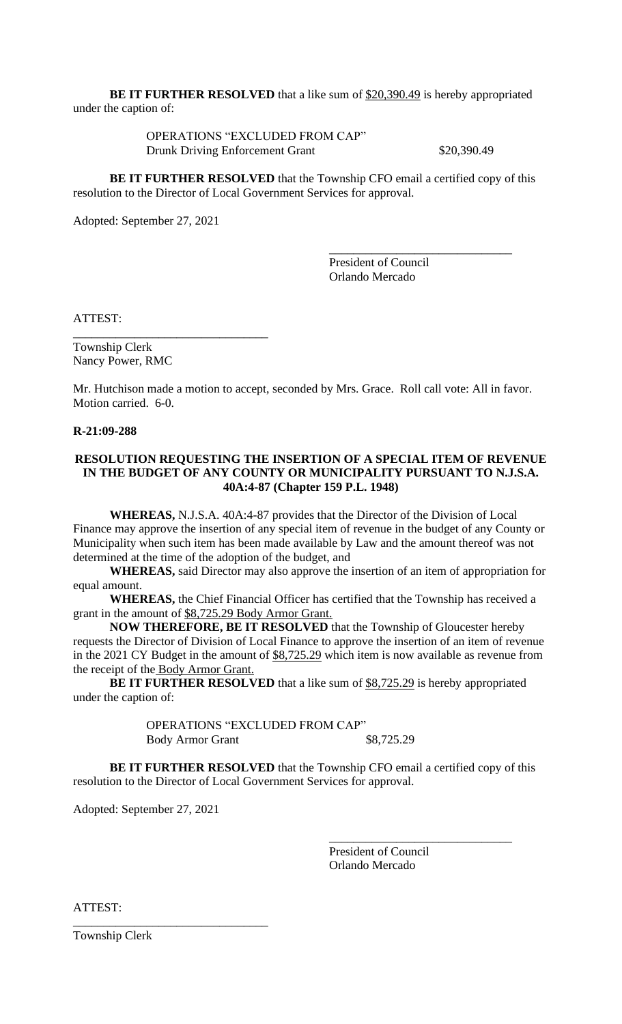**BE IT FURTHER RESOLVED** that a like sum of \$20,390.49 is hereby appropriated under the caption of:

> OPERATIONS "EXCLUDED FROM CAP" Drunk Driving Enforcement Grant \$20,390.49

**BE IT FURTHER RESOLVED** that the Township CFO email a certified copy of this resolution to the Director of Local Government Services for approval.

Adopted: September 27, 2021

\_\_\_\_\_\_\_\_\_\_\_\_\_\_\_\_\_\_\_\_\_\_\_\_\_\_\_\_\_\_\_\_

President of Council Orlando Mercado

\_\_\_\_\_\_\_\_\_\_\_\_\_\_\_\_\_\_\_\_\_\_\_\_\_\_\_\_\_\_

ATTEST:

Township Clerk Nancy Power, RMC

Mr. Hutchison made a motion to accept, seconded by Mrs. Grace. Roll call vote: All in favor. Motion carried. 6-0.

#### **R-21:09-288**

## **RESOLUTION REQUESTING THE INSERTION OF A SPECIAL ITEM OF REVENUE IN THE BUDGET OF ANY COUNTY OR MUNICIPALITY PURSUANT TO N.J.S.A. 40A:4-87 (Chapter 159 P.L. 1948)**

**WHEREAS,** N.J.S.A. 40A:4-87 provides that the Director of the Division of Local Finance may approve the insertion of any special item of revenue in the budget of any County or Municipality when such item has been made available by Law and the amount thereof was not determined at the time of the adoption of the budget, and

**WHEREAS,** said Director may also approve the insertion of an item of appropriation for equal amount.

**WHEREAS,** the Chief Financial Officer has certified that the Township has received a grant in the amount of \$8,725.29 Body Armor Grant.

**NOW THEREFORE, BE IT RESOLVED** that the Township of Gloucester hereby requests the Director of Division of Local Finance to approve the insertion of an item of revenue in the 2021 CY Budget in the amount of \$8,725.29 which item is now available as revenue from the receipt of the Body Armor Grant.

**BE IT FURTHER RESOLVED** that a like sum of \$8,725.29 is hereby appropriated under the caption of:

> OPERATIONS "EXCLUDED FROM CAP" Body Armor Grant \$8,725.29

**BE IT FURTHER RESOLVED** that the Township CFO email a certified copy of this resolution to the Director of Local Government Services for approval.

Adopted: September 27, 2021

\_\_\_\_\_\_\_\_\_\_\_\_\_\_\_\_\_\_\_\_\_\_\_\_\_\_\_\_\_\_\_\_

President of Council Orlando Mercado

\_\_\_\_\_\_\_\_\_\_\_\_\_\_\_\_\_\_\_\_\_\_\_\_\_\_\_\_\_\_

ATTEST:

Township Clerk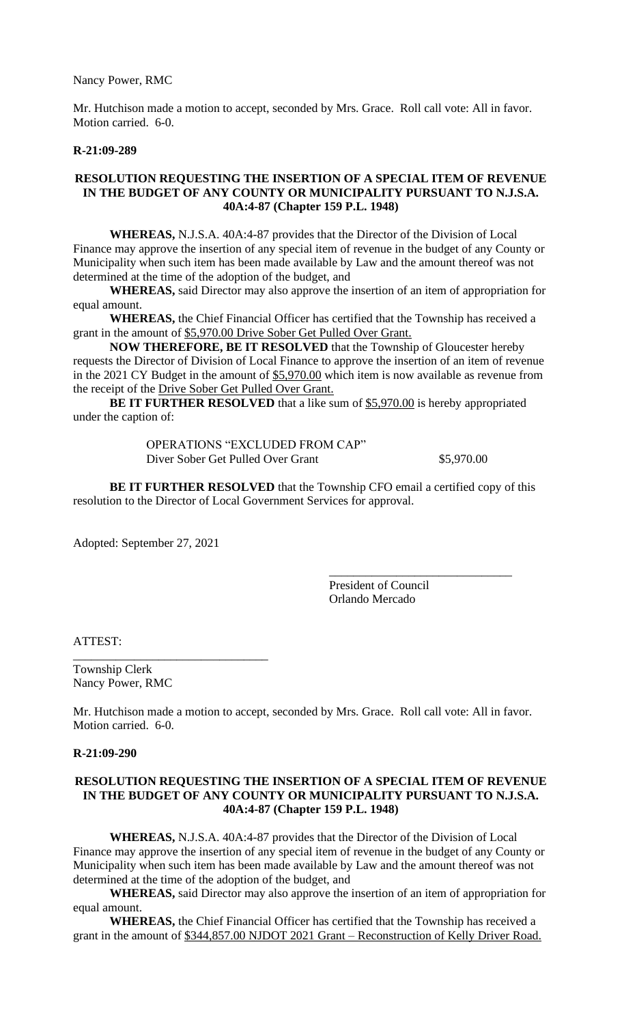Nancy Power, RMC

Mr. Hutchison made a motion to accept, seconded by Mrs. Grace. Roll call vote: All in favor. Motion carried. 6-0.

#### **R-21:09-289**

## **RESOLUTION REQUESTING THE INSERTION OF A SPECIAL ITEM OF REVENUE IN THE BUDGET OF ANY COUNTY OR MUNICIPALITY PURSUANT TO N.J.S.A. 40A:4-87 (Chapter 159 P.L. 1948)**

**WHEREAS,** N.J.S.A. 40A:4-87 provides that the Director of the Division of Local Finance may approve the insertion of any special item of revenue in the budget of any County or Municipality when such item has been made available by Law and the amount thereof was not determined at the time of the adoption of the budget, and

**WHEREAS,** said Director may also approve the insertion of an item of appropriation for equal amount.

**WHEREAS,** the Chief Financial Officer has certified that the Township has received a grant in the amount of \$5,970.00 Drive Sober Get Pulled Over Grant.

**NOW THEREFORE, BE IT RESOLVED** that the Township of Gloucester hereby requests the Director of Division of Local Finance to approve the insertion of an item of revenue in the 2021 CY Budget in the amount of \$5,970.00 which item is now available as revenue from the receipt of the Drive Sober Get Pulled Over Grant.

**BE IT FURTHER RESOLVED** that a like sum of \$5,970.00 is hereby appropriated under the caption of:

> OPERATIONS "EXCLUDED FROM CAP" Diver Sober Get Pulled Over Grant \$5,970.00

**BE IT FURTHER RESOLVED** that the Township CFO email a certified copy of this resolution to the Director of Local Government Services for approval.

Adopted: September 27, 2021

\_\_\_\_\_\_\_\_\_\_\_\_\_\_\_\_\_\_\_\_\_\_\_\_\_\_\_\_\_\_\_\_

President of Council Orlando Mercado

\_\_\_\_\_\_\_\_\_\_\_\_\_\_\_\_\_\_\_\_\_\_\_\_\_\_\_\_\_\_

ATTEST:

Township Clerk Nancy Power, RMC

Mr. Hutchison made a motion to accept, seconded by Mrs. Grace. Roll call vote: All in favor. Motion carried. 6-0.

**R-21:09-290**

#### **RESOLUTION REQUESTING THE INSERTION OF A SPECIAL ITEM OF REVENUE IN THE BUDGET OF ANY COUNTY OR MUNICIPALITY PURSUANT TO N.J.S.A. 40A:4-87 (Chapter 159 P.L. 1948)**

**WHEREAS,** N.J.S.A. 40A:4-87 provides that the Director of the Division of Local Finance may approve the insertion of any special item of revenue in the budget of any County or Municipality when such item has been made available by Law and the amount thereof was not determined at the time of the adoption of the budget, and

**WHEREAS,** said Director may also approve the insertion of an item of appropriation for equal amount.

**WHEREAS,** the Chief Financial Officer has certified that the Township has received a grant in the amount of \$344,857.00 NJDOT 2021 Grant – Reconstruction of Kelly Driver Road.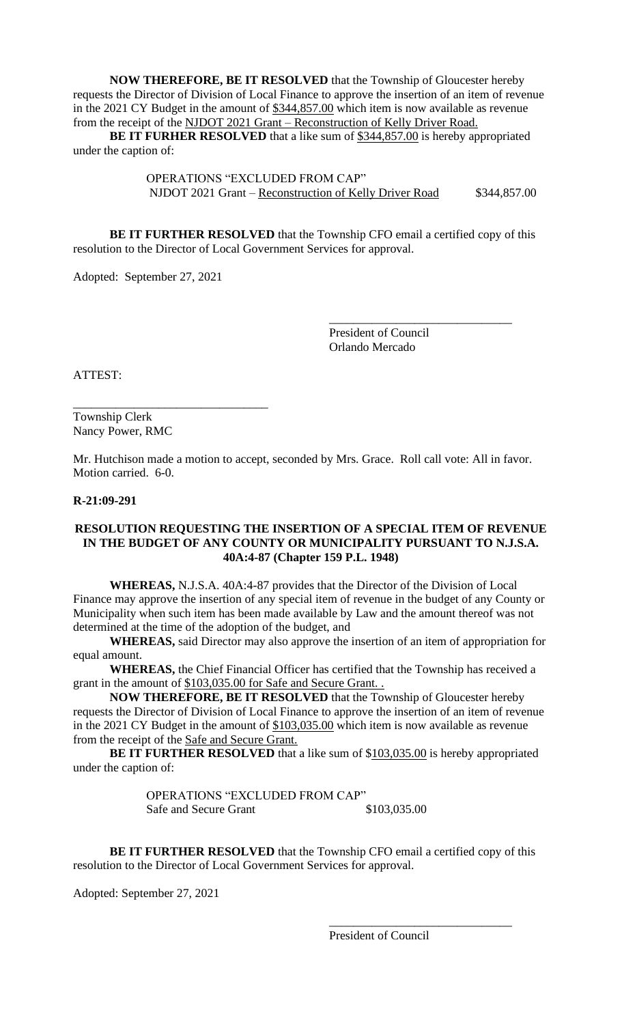**NOW THEREFORE, BE IT RESOLVED** that the Township of Gloucester hereby requests the Director of Division of Local Finance to approve the insertion of an item of revenue in the 2021 CY Budget in the amount of \$344,857.00 which item is now available as revenue from the receipt of the NJDOT 2021 Grant – Reconstruction of Kelly Driver Road.

**BE IT FURHER RESOLVED** that a like sum of \$344,857.00 is hereby appropriated under the caption of:

> OPERATIONS "EXCLUDED FROM CAP" NJDOT 2021 Grant – Reconstruction of Kelly Driver Road \$344,857.00

**BE IT FURTHER RESOLVED** that the Township CFO email a certified copy of this resolution to the Director of Local Government Services for approval.

Adopted: September 27, 2021

\_\_\_\_\_\_\_\_\_\_\_\_\_\_\_\_\_\_\_\_\_\_\_\_\_\_\_\_\_\_\_\_

President of Council Orlando Mercado

\_\_\_\_\_\_\_\_\_\_\_\_\_\_\_\_\_\_\_\_\_\_\_\_\_\_\_\_\_\_

ATTEST:

Township Clerk Nancy Power, RMC

Mr. Hutchison made a motion to accept, seconded by Mrs. Grace. Roll call vote: All in favor. Motion carried. 6-0.

#### **R-21:09-291**

#### **RESOLUTION REQUESTING THE INSERTION OF A SPECIAL ITEM OF REVENUE IN THE BUDGET OF ANY COUNTY OR MUNICIPALITY PURSUANT TO N.J.S.A. 40A:4-87 (Chapter 159 P.L. 1948)**

**WHEREAS,** N.J.S.A. 40A:4-87 provides that the Director of the Division of Local Finance may approve the insertion of any special item of revenue in the budget of any County or Municipality when such item has been made available by Law and the amount thereof was not determined at the time of the adoption of the budget, and

**WHEREAS,** said Director may also approve the insertion of an item of appropriation for equal amount.

**WHEREAS,** the Chief Financial Officer has certified that the Township has received a grant in the amount of \$103,035.00 for Safe and Secure Grant. .

**NOW THEREFORE, BE IT RESOLVED** that the Township of Gloucester hereby requests the Director of Division of Local Finance to approve the insertion of an item of revenue in the 2021 CY Budget in the amount of \$103,035.00 which item is now available as revenue from the receipt of the Safe and Secure Grant.

**BE IT FURTHER RESOLVED** that a like sum of \$103,035.00 is hereby appropriated under the caption of:

> OPERATIONS "EXCLUDED FROM CAP" Safe and Secure Grant \$103,035.00

**BE IT FURTHER RESOLVED** that the Township CFO email a certified copy of this resolution to the Director of Local Government Services for approval.

Adopted: September 27, 2021

President of Council

\_\_\_\_\_\_\_\_\_\_\_\_\_\_\_\_\_\_\_\_\_\_\_\_\_\_\_\_\_\_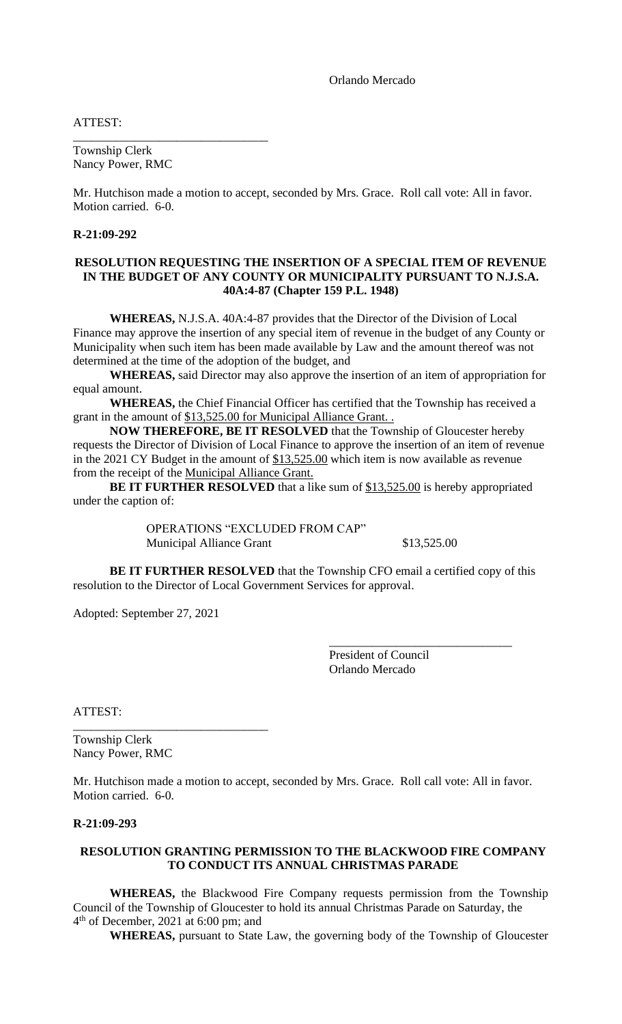Orlando Mercado

ATTEST:

Township Clerk Nancy Power, RMC

\_\_\_\_\_\_\_\_\_\_\_\_\_\_\_\_\_\_\_\_\_\_\_\_\_\_\_\_\_\_\_\_

Mr. Hutchison made a motion to accept, seconded by Mrs. Grace. Roll call vote: All in favor. Motion carried. 6-0.

## **R-21:09-292**

#### **RESOLUTION REQUESTING THE INSERTION OF A SPECIAL ITEM OF REVENUE IN THE BUDGET OF ANY COUNTY OR MUNICIPALITY PURSUANT TO N.J.S.A. 40A:4-87 (Chapter 159 P.L. 1948)**

**WHEREAS,** N.J.S.A. 40A:4-87 provides that the Director of the Division of Local Finance may approve the insertion of any special item of revenue in the budget of any County or Municipality when such item has been made available by Law and the amount thereof was not determined at the time of the adoption of the budget, and

**WHEREAS,** said Director may also approve the insertion of an item of appropriation for equal amount.

**WHEREAS,** the Chief Financial Officer has certified that the Township has received a grant in the amount of \$13,525.00 for Municipal Alliance Grant...

**NOW THEREFORE, BE IT RESOLVED** that the Township of Gloucester hereby requests the Director of Division of Local Finance to approve the insertion of an item of revenue in the 2021 CY Budget in the amount of  $$13,525.00$  which item is now available as revenue from the receipt of the Municipal Alliance Grant.

**BE IT FURTHER RESOLVED** that a like sum of \$13,525.00 is hereby appropriated under the caption of:

> OPERATIONS "EXCLUDED FROM CAP" Municipal Alliance Grant \$13,525.00

\_\_\_\_\_\_\_\_\_\_\_\_\_\_\_\_\_\_\_\_\_\_\_\_\_\_\_\_\_\_

**BE IT FURTHER RESOLVED** that the Township CFO email a certified copy of this resolution to the Director of Local Government Services for approval.

Adopted: September 27, 2021

\_\_\_\_\_\_\_\_\_\_\_\_\_\_\_\_\_\_\_\_\_\_\_\_\_\_\_\_\_\_\_\_

President of Council Orlando Mercado

ATTEST:

Township Clerk Nancy Power, RMC

Mr. Hutchison made a motion to accept, seconded by Mrs. Grace. Roll call vote: All in favor. Motion carried. 6-0.

## **R-21:09-293**

#### **RESOLUTION GRANTING PERMISSION TO THE BLACKWOOD FIRE COMPANY TO CONDUCT ITS ANNUAL CHRISTMAS PARADE**

**WHEREAS,** the Blackwood Fire Company requests permission from the Township Council of the Township of Gloucester to hold its annual Christmas Parade on Saturday, the 4 th of December, 2021 at 6:00 pm; and

**WHEREAS,** pursuant to State Law, the governing body of the Township of Gloucester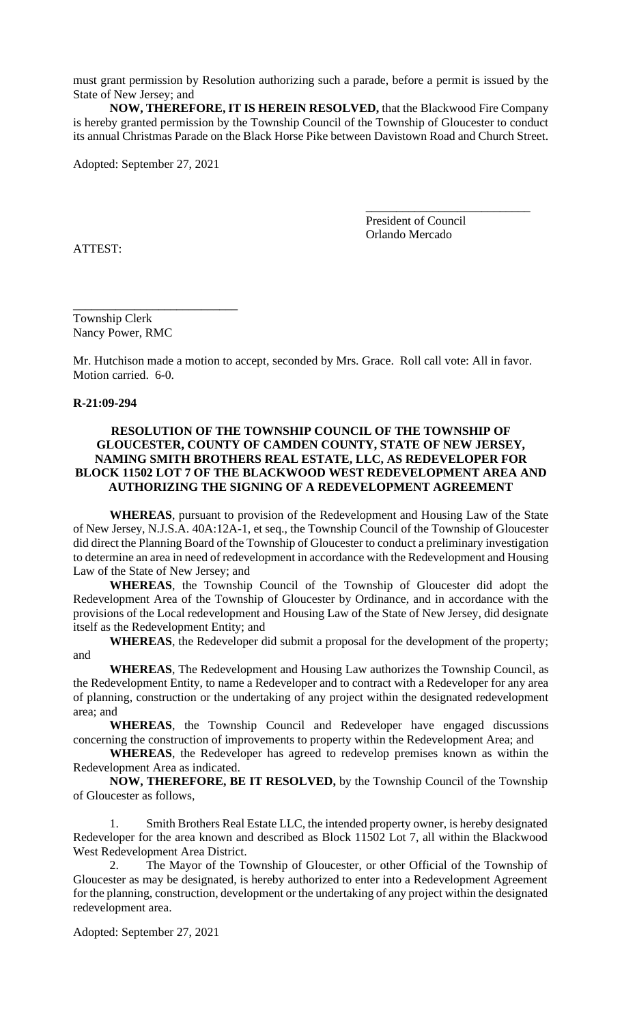must grant permission by Resolution authorizing such a parade, before a permit is issued by the State of New Jersey; and

**NOW, THEREFORE, IT IS HEREIN RESOLVED,** that the Blackwood Fire Company is hereby granted permission by the Township Council of the Township of Gloucester to conduct its annual Christmas Parade on the Black Horse Pike between Davistown Road and Church Street.

Adopted: September 27, 2021

President of Council Orlando Mercado

\_\_\_\_\_\_\_\_\_\_\_\_\_\_\_\_\_\_\_\_\_\_\_\_\_\_\_

ATTEST:

Township Clerk Nancy Power, RMC

\_\_\_\_\_\_\_\_\_\_\_\_\_\_\_\_\_\_\_\_\_\_\_\_\_\_\_

Mr. Hutchison made a motion to accept, seconded by Mrs. Grace. Roll call vote: All in favor. Motion carried. 6-0.

**R-21:09-294**

## **RESOLUTION OF THE TOWNSHIP COUNCIL OF THE TOWNSHIP OF GLOUCESTER, COUNTY OF CAMDEN COUNTY, STATE OF NEW JERSEY, NAMING SMITH BROTHERS REAL ESTATE, LLC, AS REDEVELOPER FOR BLOCK 11502 LOT 7 OF THE BLACKWOOD WEST REDEVELOPMENT AREA AND AUTHORIZING THE SIGNING OF A REDEVELOPMENT AGREEMENT**

**WHEREAS**, pursuant to provision of the Redevelopment and Housing Law of the State of New Jersey, N.J.S.A. 40A:12A-1, et seq., the Township Council of the Township of Gloucester did direct the Planning Board of the Township of Gloucester to conduct a preliminary investigation to determine an area in need of redevelopment in accordance with the Redevelopment and Housing Law of the State of New Jersey; and

**WHEREAS**, the Township Council of the Township of Gloucester did adopt the Redevelopment Area of the Township of Gloucester by Ordinance, and in accordance with the provisions of the Local redevelopment and Housing Law of the State of New Jersey, did designate itself as the Redevelopment Entity; and

**WHEREAS**, the Redeveloper did submit a proposal for the development of the property; and

**WHEREAS**, The Redevelopment and Housing Law authorizes the Township Council, as the Redevelopment Entity, to name a Redeveloper and to contract with a Redeveloper for any area of planning, construction or the undertaking of any project within the designated redevelopment area; and

**WHEREAS**, the Township Council and Redeveloper have engaged discussions concerning the construction of improvements to property within the Redevelopment Area; and

**WHEREAS**, the Redeveloper has agreed to redevelop premises known as within the Redevelopment Area as indicated.

**NOW, THEREFORE, BE IT RESOLVED,** by the Township Council of the Township of Gloucester as follows,

1. Smith Brothers Real Estate LLC, the intended property owner, is hereby designated Redeveloper for the area known and described as Block 11502 Lot 7, all within the Blackwood West Redevelopment Area District.

2. The Mayor of the Township of Gloucester, or other Official of the Township of Gloucester as may be designated, is hereby authorized to enter into a Redevelopment Agreement for the planning, construction, development or the undertaking of any project within the designated redevelopment area.

Adopted: September 27, 2021